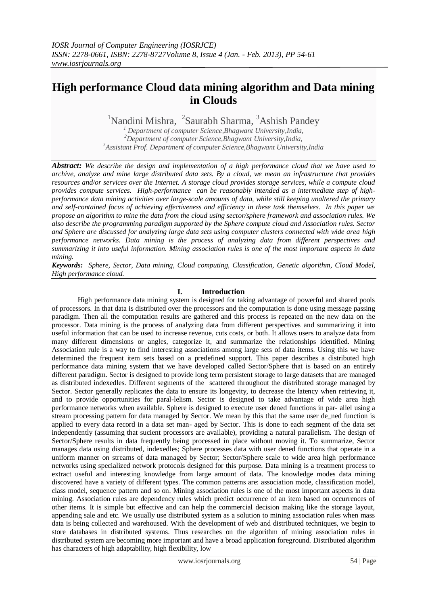# **High performance Cloud data mining algorithm and Data mining in Clouds**

<sup>1</sup>Nandini Mishra, <sup>2</sup>Saurabh Sharma, <sup>3</sup>Ashish Pandey

*<sup>1</sup> Department of computer Science,Bhagwant University,India, <sup>2</sup>Department of computer Science,Bhagwant University,India, <sup>3</sup>Assistant Prof. Department of computer Science,Bhagwant University,India*

*Abstract: We describe the design and implementation of a high performance cloud that we have used to archive, analyze and mine large distributed data sets. By a cloud, we mean an infrastructure that provides resources and/or services over the Internet. A storage cloud provides storage services, while a compute cloud provides compute services. High-performance can be reasonably intended as a intermediate step of highperformance data mining activities over large-scale amounts of data, while still keeping unaltered the primary and self-contained focus of achieving effectiveness and efficiency in these task themselves. In this paper we propose an algorithm to mine the data from the cloud using sector/sphere framework and association rules. We also describe the programming paradigm supported by the Sphere compute cloud and Association rules. Sector and Sphere are discussed for analyzing large data sets using computer clusters connected with wide area high performance networks. Data mining is the process of analyzing data from different perspectives and summarizing it into useful information. Mining association rules is one of the most important aspects in data mining.*

*Keywords: Sphere, Sector, Data mining, Cloud computing, Classification, Genetic algorithm, Cloud Model, High performance cloud.*

### **I. Introduction**

High performance data mining system is designed for taking advantage of powerful and shared pools of processors. In that data is distributed over the processors and the computation is done using message passing paradigm. Then all the computation results are gathered and this process is repeated on the new data on the processor. Data mining is the process of analyzing data from different perspectives and summarizing it into useful information that can be used to increase revenue, cuts costs, or both. It allows users to analyze data from many different dimensions or angles, categorize it, and summarize the relationships identified. Mining Association rule is a way to find interesting associations among large sets of data items. Using this we have determined the frequent item sets based on a predefined support. This paper describes a distributed high performance data mining system that we have developed called Sector/Sphere that is based on an entirely different paradigm. Sector is designed to provide long term persistent storage to large datasets that are managed as distributed indexedles. Different segments of the scattered throughout the distributed storage managed by Sector. Sector generally replicates the data to ensure its longevity, to decrease the latency when retrieving it, and to provide opportunities for paral-lelism. Sector is designed to take advantage of wide area high performance networks when available. Sphere is designed to execute user dened functions in par- allel using a stream processing pattern for data managed by Sector. We mean by this that the same user de ned function is applied to every data record in a data set man- aged by Sector. This is done to each segment of the data set independently (assuming that sucient processors are available), providing a natural parallelism. The design of Sector/Sphere results in data frequently being processed in place without moving it. To summarize, Sector manages data using distributed, indexedles; Sphere processes data with user dened functions that operate in a uniform manner on streams of data managed by Sector; Sector/Sphere scale to wide area high performance networks using specialized network protocols designed for this purpose. Data mining is a treatment process to extract useful and interesting knowledge from large amount of data. The knowledge modes data mining discovered have a variety of different types. The common patterns are: association mode, classification model, class model, sequence pattern and so on. Mining association rules is one of the most important aspects in data mining. Association rules are dependency rules which predict occurrence of an item based on occurrences of other items. It is simple but effective and can help the commercial decision making like the storage layout, appending sale and etc. We usually use distributed system as a solution to mining association rules when mass data is being collected and warehoused. With the development of web and distributed techniques, we begin to store databases in distributed systems. Thus researches on the algorithm of mining association rules in distributed system are becoming more important and have a broad application foreground. Distributed algorithm has characters of high adaptability, high flexibility, low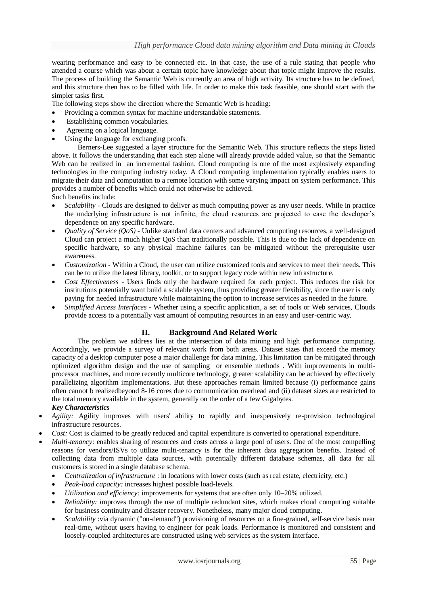wearing performance and easy to be connected etc. In that case, the use of a rule stating that people who attended a course which was about a certain topic have knowledge about that topic might improve the results. The process of building the Semantic Web is currently an area of high activity. Its structure has to be defined, and this structure then has to be filled with life. In order to make this task feasible, one should start with the simpler tasks first.

The following steps show the direction where the Semantic Web is heading:

- Providing a common syntax for machine understandable statements.
- Establishing common vocabularies.
- Agreeing on a logical language.
- Using the language for exchanging proofs.

Berners-Lee suggested a layer structure for the Semantic Web. This structure reflects the steps listed above. It follows the understanding that each step alone will already provide added value, so that the Semantic Web can be realized in an incremental fashion. Cloud computing is one of the most explosively expanding technologies in the computing industry today. A Cloud computing implementation typically enables users to migrate their data and computation to a remote location with some varying impact on system performance. This provides a number of benefits which could not otherwise be achieved.

Such benefits include:

- *Scalability -* Clouds are designed to deliver as much computing power as any user needs. While in practice the underlying infrastructure is not infinite, the cloud resources are projected to ease the developer's dependence on any specific hardware.
- *Quality of Service (QoS) -* Unlike standard data centers and advanced computing resources, a well-designed Cloud can project a much higher QoS than traditionally possible. This is due to the lack of dependence on specific hardware, so any physical machine failures can be mitigated without the prerequisite user awareness.
- *Customization -* Within a Cloud, the user can utilize customized tools and services to meet their needs. This can be to utilize the latest library, toolkit, or to support legacy code within new infrastructure.
- *Cost Effectiveness -* Users finds only the hardware required for each project. This reduces the risk for institutions potentially want build a scalable system, thus providing greater flexibility, since the user is only paying for needed infrastructure while maintaining the option to increase services as needed in the future.
- *Simplified Access Interfaces -* Whether using a specific application, a set of tools or Web services, Clouds provide access to a potentially vast amount of computing resources in an easy and user-centric way.

## **II. Background And Related Work**

The problem we address lies at the intersection of data mining and high performance computing. Accordingly, we provide a survey of relevant work from both areas. Dataset sizes that exceed the memory capacity of a desktop computer pose a major challenge for data mining. This limitation can be mitigated through optimized algorithm design and the use of sampling or ensemble methods . With improvements in multiprocessor machines, and more recently multicore technology, greater scalability can be achieved by effectively parallelizing algorithm implementations. But these approaches remain limited because (i) performance gains often cannot b realizedbeyond 8-16 cores due to communication overhead and (ii) dataset sizes are restricted to the total memory available in the system, generally on the order of a few Gigabytes.

*Key Characteristics*

- *Agility:* Agility improves with users' ability to rapidly and inexpensively re-provision technological infrastructure resources.
- *Cost:* Cost is claimed to be greatly reduced and capital expenditure is converted to operational expenditure.
- *Multi-tenancy:* enables sharing of resources and costs across a large pool of users. One of the most compelling reasons for vendors/ISVs to utilize multi-tenancy is for the inherent data aggregation benefits. Instead of collecting data from multiple data sources, with potentially different database schemas, all data for all customers is stored in a single database schema.
	- *Centralization of infrastructure* : in locations with lower costs (such as real estate, electricity, etc.)
	- *Peak-load capacity:* increases highest possible load-levels.
	- *Utilization and efficiency:* improvements for systems that are often only 10–20% utilized.
	- *Reliability: i*mproves through the use of multiple redundant sites, which makes cloud computing suitable for business continuity and disaster recovery. Nonetheless, many major cloud computing.
	- *Scalability* :via dynamic ("on-demand") provisioning of resources on a fine-grained, self-service basis near real-time, without users having to engineer for peak loads. Performance is monitored and consistent and loosely-coupled architectures are constructed using web services as the system interface.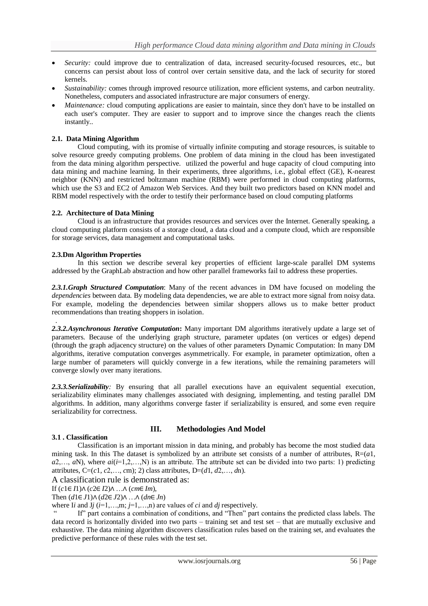- *Security:* could improve due to centralization of data, increased security-focused resources, etc., but concerns can persist about loss of control over certain sensitive data, and the lack of security for stored kernels.
- *Sustainability:* comes through improved resource utilization, more efficient systems, and carbon neutrality. Nonetheless, computers and associated infrastructure are major consumers of energy.
- *Maintenance:* cloud computing applications are easier to maintain, since they don't have to be installed on each user's computer. They are easier to support and to improve since the changes reach the clients instantly..

## **2.1. Data Mining Algorithm**

Cloud computing, with its promise of virtually infinite computing and storage resources, is suitable to solve resource greedy computing problems. One problem of data mining in the cloud has been investigated from the data mining algorithm perspective. utilized the powerful and huge capacity of cloud computing into data mining and machine learning. In their experiments, three algorithms, i.e., global effect (GE), K-nearest neighbor (KNN) and restricted boltzmann machine (RBM) were performed in cloud computing platforms, which use the S3 and EC2 of Amazon Web Services. And they built two predictors based on KNN model and RBM model respectively with the order to testify their performance based on cloud computing platforms

## **2.2. Architecture of Data Mining**

Cloud is an infrastructure that provides resources and services over the Internet. Generally speaking, a cloud computing platform consists of a storage cloud, a data cloud and a compute cloud, which are responsible for storage services, data management and computational tasks.

## **2.3.Dm Algorithm Properties**

In this section we describe several key properties of efficient large-scale parallel DM systems addressed by the GraphLab abstraction and how other parallel frameworks fail to address these properties.

*2.3.1.Graph Structured Computation*: Many of the recent advances in DM have focused on modeling the *dependencies* between data. By modeling data dependencies, we are able to extract more signal from noisy data. For example, modeling the dependencies between similar shoppers allows us to make better product recommendations than treating shoppers in isolation.

*2.3.2.Asynchronous Iterative Computation***:** Many important DM algorithms iteratively update a large set of parameters. Because of the underlying graph structure, parameter updates (on vertices or edges) depend (through the graph adjacency structure) on the values of other parameters Dynamic Computation: In many DM algorithms, iterative computation converges asymmetrically. For example, in parameter optimization, often a large number of parameters will quickly converge in a few iterations, while the remaining parameters will converge slowly over many iterations.

*2.3.3.Serializability:* By ensuring that all parallel executions have an equivalent sequential execution, serializability eliminates many challenges associated with designing, implementing, and testing parallel DM algorithms. In addition, many algorithms converge faster if serializability is ensured, and some even require serializability for correctness.

## **3.1 . Classification**

.

## **III. Methodologies And Model**

Classification is an important mission in data mining, and probably has become the most studied data mining task. In this The dataset is symbolized by an attribute set consists of a number of attributes,  $R=(a1, a2)$  $a_1a_2,..., a_N$ , where  $a(i=1,2,...,N)$  is an attribute. The attribute set can be divided into two parts: 1) predicting attributes,  $C=(c_1, c_2, \ldots, c_m)$ ; 2) class attributes,  $D=(d_1, d_2, \ldots, d_n)$ .

A classification rule is demonstrated as:

If (*c*1∈ *I*1)∧ (*c*2∈ *I*2)∧ …∧ (*cm*∈ *Im*),

Then (*d*1∈*J*1)∧ (*d*2∈ *J*2)∧ …∧ (*dn*∈ *Jn*)

where I*i* and J*j*  $(i=1,...,m; j=1,...,n)$  are values of *ci* and *dj* respectively.

If" part contains a combination of conditions, and "Then" part contains the predicted class labels. The data record is horizontally divided into two parts – training set and test set – that are mutually exclusive and exhaustive. The data mining algorithm discovers classification rules based on the training set, and evaluates the predictive performance of these rules with the test set.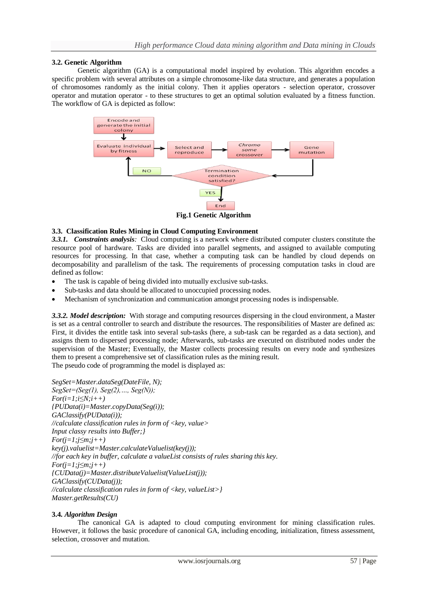## **3.2. Genetic Algorithm**

Genetic algorithm (GA) is a computational model inspired by evolution. This algorithm encodes a specific problem with several attributes on a simple chromosome-like data structure, and generates a population of chromosomes randomly as the initial colony. Then it applies operators - selection operator, crossover operator and mutation operator - to these structures to get an optimal solution evaluated by a fitness function. The workflow of GA is depicted as follow:



**Fig.1 Genetic Algorithm**

## **3.3. Classification Rules Mining in Cloud Computing Environment**

*3.3.1. Constraints analysis:* Cloud computing is a network where distributed computer clusters constitute the resource pool of hardware. Tasks are divided into parallel segments, and assigned to available computing resources for processing. In that case, whether a computing task can be handled by cloud depends on decomposability and parallelism of the task. The requirements of processing computation tasks in cloud are defined as follow:

- The task is capable of being divided into mutually exclusive sub-tasks.
- Sub-tasks and data should be allocated to unoccupied processing nodes.
- Mechanism of synchronization and communication amongst processing nodes is indispensable.

*3.3.2. Model description:* With storage and computing resources dispersing in the cloud environment, a Master is set as a central controller to search and distribute the resources. The responsibilities of Master are defined as: First, it divides the entitle task into several sub-tasks (here, a sub-task can be regarded as a data section), and assigns them to dispersed processing node; Afterwards, sub-tasks are executed on distributed nodes under the supervision of the Master; Eventually, the Master collects processing results on every node and synthesizes them to present a comprehensive set of classification rules as the mining result. The pseudo code of programming the model is displayed as:

```
SegSet=Master.dataSeg(DateFile, N); 
SegSet=(Seg(1), Seg(2),…, Seg(N)); 
For(i=1;i≤N;i++) 
{PUData(i)=Master.copyData(Seg(i)); 
GAClassify(PUData(i)); 
//calculate classification rules in form of <key, value> 
Input classy results into Buffer;} 
For(j=1;j≤m;j++) 
key(j).valuelist=Master.calculateValuelist(key(j)); 
//for each key in buffer, calculate a valueList consists of rules sharing this key. 
For(j=1;j≤m;j++) 
{CUData(j)=Master.distributeValuelist(ValueList(j)); 
GAClassify(CUData(j)); 
//calculate classification rules in form of <key, valueList>} 
Master.getResults(CU)
```
## **3.4.** *Algorithm Design*

The canonical GA is adapted to cloud computing environment for mining classification rules. However, it follows the basic procedure of canonical GA, including encoding, initialization, fitness assessment, selection, crossover and mutation.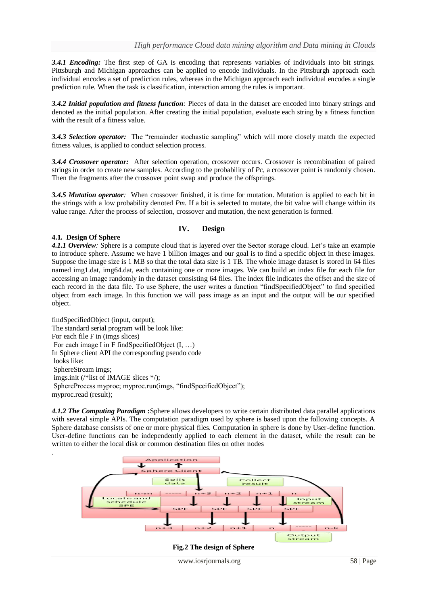*3.4.1 Encoding:* The first step of GA is encoding that represents variables of individuals into bit strings. Pittsburgh and Michigan approaches can be applied to encode individuals. In the Pittsburgh approach each individual encodes a set of prediction rules, whereas in the Michigan approach each individual encodes a single prediction rule. When the task is classification, interaction among the rules is important.

*3.4.2 Initial population and fitness function:* Pieces of data in the dataset are encoded into binary strings and denoted as the initial population. After creating the initial population, evaluate each string by a fitness function with the result of a fitness value.

3.4.3 Selection operator: The "remainder stochastic sampling" which will more closely match the expected fitness values, is applied to conduct selection process.

*3.4.4 Crossover operator:* After selection operation, crossover occurs. Crossover is recombination of paired strings in order to create new samples. According to the probability of *Pc*, a crossover point is randomly chosen. Then the fragments after the crossover point swap and produce the offsprings.

*3.4.5 Mutation operator:* When crossover finished, it is time for mutation. Mutation is applied to each bit in the strings with a low probability denoted *Pm*. If a bit is selected to mutate, the bit value will change within its value range. After the process of selection, crossover and mutation, the next generation is formed.

## **IV. Design**

#### **4.1. Design Of Sphere**

.

*4.1.1 Overview:* Sphere is a compute cloud that is layered over the Sector storage cloud. Let's take an example to introduce sphere. Assume we have 1 billion images and our goal is to find a specific object in these images. Suppose the image size is 1 MB so that the total data size is 1 TB. The whole image dataset is stored in 64 files named img1.dat, img64.dat, each containing one or more images. We can build an index file for each file for accessing an image randomly in the dataset consisting 64 files. The index file indicates the offset and the size of each record in the data file. To use Sphere, the user writes a function "findSpecifiedObject" to find specified object from each image. In this function we will pass image as an input and the output will be our specified object.

findSpecifiedObject (input, output); The standard serial program will be look like: For each file F in (imgs slices) For each image I in F findSpecifiedObject  $(I, \ldots)$ In Sphere client API the corresponding pseudo code looks like: SphereStream imgs; imgs.init (/\*list of IMAGE slices \*/); SphereProcess myproc; myproc.run(imgs, "findSpecifiedObject"); myproc.read (result);

*4.1.2 The Computing Paradigm* **:**Sphere allows developers to write certain distributed data parallel applications with several simple APIs. The computation paradigm used by sphere is based upon the following concepts. A Sphere database consists of one or more physical files. Computation in sphere is done by User-define function. User-define functions can be independently applied to each element in the dataset, while the result can be written to either the local disk or common destination files on other nodes

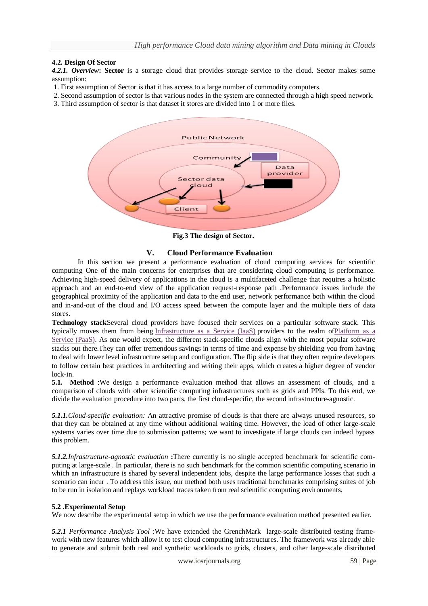## **4.2. Design Of Sector**

*4.2.1. Overview***: Sector** is a storage cloud that provides storage service to the cloud. Sector makes some assumption:

- 1. First assumption of Sector is that it has access to a large number of commodity computers.
- 2. Second assumption of sector is that various nodes in the system are connected through a high speed network.
- 3. Third assumption of sector is that dataset it stores are divided into 1 or more files.



**Fig.3 The design of Sector.**

### **V. Cloud Performance Evaluation**

In this section we present a performance evaluation of cloud computing services for scientific computing One of the main concerns for enterprises that are considering cloud computing is performance. Achieving high-speed delivery of applications in the cloud is a multifaceted challenge that requires a holistic approach and an end-to-end view of the application request-response path .Performance issues include the geographical proximity of the application and data to the end user, network performance both within the cloud and in-and-out of the cloud and I/O access speed between the compute layer and the multiple tiers of data stores.

**Technology stack**Several cloud providers have focused their services on a particular software stack. This typically moves them from being [Infrastructure as a Service \(IaaS\)](http://searchcloudcomputing.techtarget.com/definition/Infrastructure-as-a-Service-IaaS) providers to the realm o[fPlatform as a](http://searchcloudcomputing.techtarget.com/definition/Platform-as-a-Service-PaaS)  [Service \(PaaS\).](http://searchcloudcomputing.techtarget.com/definition/Platform-as-a-Service-PaaS) As one would expect, the different stack-specific clouds align with the most popular software stacks out there.They can offer tremendous savings in terms of time and expense by shielding you from having to deal with lower level infrastructure setup and configuration. The flip side is that they often require developers to follow certain best practices in architecting and writing their apps, which creates a higher degree of vendor lock-in.

**5.1. Method** :We design a performance evaluation method that allows an assessment of clouds, and a comparison of clouds with other scientific computing infrastructures such as grids and PPIs. To this end, we divide the evaluation procedure into two parts, the first cloud-specific, the second infrastructure-agnostic.

*5.1.1.Cloud-specific evaluation:* An attractive promise of clouds is that there are always unused resources, so that they can be obtained at any time without additional waiting time. However, the load of other large-scale systems varies over time due to submission patterns; we want to investigate if large clouds can indeed bypass this problem.

*5.1.2.Infrastructure-agnostic evaluation* **:**There currently is no single accepted benchmark for scientific computing at large-scale . In particular, there is no such benchmark for the common scientific computing scenario in which an infrastructure is shared by several independent jobs, despite the large performance losses that such a scenario can incur . To address this issue, our method both uses traditional benchmarks comprising suites of job to be run in isolation and replays workload traces taken from real scientific computing environments.

## **5.2 .Experimental Setup**

We now describe the experimental setup in which we use the performance evaluation method presented earlier.

*5.2.1 Performance Analysis Tool* :We have extended the GrenchMark large-scale distributed testing framework with new features which allow it to test cloud computing infrastructures. The framework was already able to generate and submit both real and synthetic workloads to grids, clusters, and other large-scale distributed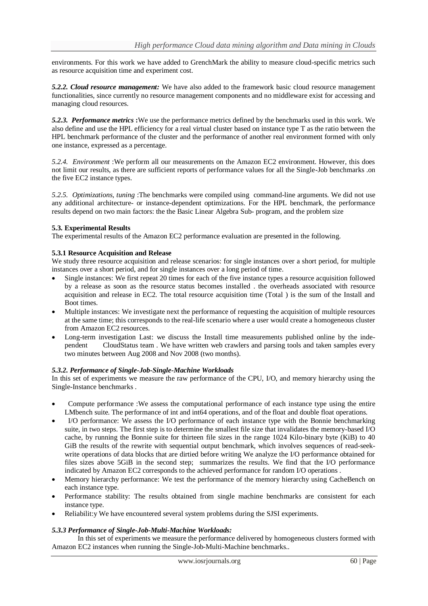environments. For this work we have added to GrenchMark the ability to measure cloud-specific metrics such as resource acquisition time and experiment cost.

*5.2.2. Cloud resource management:* We have also added to the framework basic cloud resource management functionalities, since currently no resource management components and no middleware exist for accessing and managing cloud resources.

*5.2.3. Performance metrics* **:**We use the performance metrics defined by the benchmarks used in this work. We also define and use the HPL efficiency for a real virtual cluster based on instance type T as the ratio between the HPL benchmark performance of the cluster and the performance of another real environment formed with only one instance, expressed as a percentage.

*5.2.4. Environment* :We perform all our measurements on the Amazon EC2 environment. However, this does not limit our results, as there are sufficient reports of performance values for all the Single-Job benchmarks .on the five EC2 instance types.

*5.2.5. Optimizations, tuning* :The benchmarks were compiled using command-line arguments. We did not use any additional architecture- or instance-dependent optimizations. For the HPL benchmark, the performance results depend on two main factors: the the Basic Linear Algebra Sub- program, and the problem size

#### **5.3. Experimental Results**

The experimental results of the Amazon EC2 performance evaluation are presented in the following.

### **5.3.1 Resource Acquisition and Release**

We study three resource acquisition and release scenarios: for single instances over a short period, for multiple instances over a short period, and for single instances over a long period of time.

- Single instances: We first repeat 20 times for each of the five instance types a resource acquisition followed by a release as soon as the resource status becomes installed . the overheads associated with resource acquisition and release in EC2. The total resource acquisition time (Total ) is the sum of the Install and Boot times.
- Multiple instances: We investigate next the performance of requesting the acquisition of multiple resources at the same time; this corresponds to the real-life scenario where a user would create a homogeneous cluster from Amazon EC2 resources.
- Long-term investigation Last: we discuss the Install time measurements published online by the independent CloudStatus team . We have written web crawlers and parsing tools and taken samples every two minutes between Aug 2008 and Nov 2008 (two months).

## *5.3.2. Performance of Single-Job-Single-Machine Workloads*

In this set of experiments we measure the raw performance of the CPU, I/O, and memory hierarchy using the Single-Instance benchmarks .

- Compute performance :We assess the computational performance of each instance type using the entire LMbench suite. The performance of int and int64 operations, and of the float and double float operations.
- I/O performance: We assess the I/O performance of each instance type with the Bonnie benchmarking suite, in two steps. The first step is to determine the smallest file size that invalidates the memory-based I/O cache, by running the Bonnie suite for thirteen file sizes in the range 1024 Kilo-binary byte (KiB) to 40 GiB the results of the rewrite with sequential output benchmark, which involves sequences of read-seekwrite operations of data blocks that are dirtied before writing We analyze the I/O performance obtained for files sizes above 5GiB in the second step; summarizes the results. We find that the I/O performance indicated by Amazon EC2 corresponds to the achieved performance for random I/O operations .
- Memory hierarchy performance: We test the performance of the memory hierarchy using CacheBench on each instance type.
- Performance stability: The results obtained from single machine benchmarks are consistent for each instance type.
- Reliabilit:y We have encountered several system problems during the SJSI experiments.

#### *5.3.3 Performance of Single-Job-Multi-Machine Workloads:*

In this set of experiments we measure the performance delivered by homogeneous clusters formed with Amazon EC2 instances when running the Single-Job-Multi-Machine benchmarks..